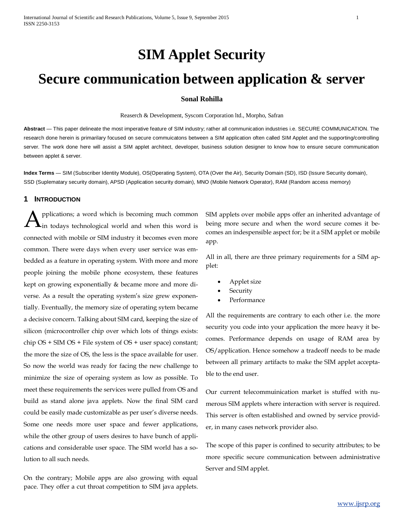# **SIM Applet Security**

# **Secure communication between application & server**

#### **Sonal Rohilla**

Reaserch & Development, Syscom Corporation ltd., Morpho, Safran

**Abstract** — This paper delineate the most imperative feature of SIM industry; rather all communication industries i.e. SECURE COMMUNICATION. The research done herein is primarilary focused on secure commuicatons between a SIM application often called SIM Applet and the supporting/controlling server. The work done here will assist a SIM applet architect, developer, business solution designer to know how to ensure secure communication between applet & server.

**Index Terms** — SIM (Subscriber Identity Module), OS(Operating System), OTA (Over the Air), Security Domain (SD), ISD (Issure Security domain), SSD (Suplematary security domain), APSD (Application security domain), MNO (Mobile Network Operator), RAM (Random access memory)

## **1 INTRODUCTION**

pplications; a word which is becoming much common  $\mathbf{A}$  pplications; a word which is becoming much common  $\mathbf{A}$  in todays technological world and when this word is connected with mobile or SIM industry it becomes even more common. There were days when every user service was embedded as a feature in operating system. With more and more people joining the mobile phone ecosystem, these features kept on growing exponentially & became more and more diverse. As a result the operating system's size grew exponentially. Eventually, the memory size of operating sytem became a decisive concern. Talking about SIM card, keeping the size of silicon (microcontroller chip over which lots of things exists: chip OS + SIM OS + File system of OS + user space) constant; the more the size of OS, the less is the space available for user. So now the world was ready for facing the new challenge to minimize the size of operaing system as low as possible. To meet these requirements the services were pulled from OS and build as stand alone java applets. Now the final SIM card could be easily made customizable as per user's diverse needs. Some one needs more user space and fewer applications, while the other group of users desires to have bunch of applications and considerable user space. The SIM world has a solution to all such needs.

On the contrary; Mobile apps are also growing with equal pace. They offer a cut throat competition to SIM java applets. SIM applets over mobile apps offer an inherited advantage of being more secure and when the word secure comes it becomes an indespensible aspect for; be it a SIM applet or mobile app.

All in all, there are three primary requirements for a SIM applet:

- Applet size
- **Security**
- Performance

All the requirements are contrary to each other i.e. the more security you code into your application the more heavy it becomes. Performance depends on usage of RAM area by OS/application. Hence somehow a tradeoff needs to be made between all primary artifacts to make the SIM applet acceptable to the end user.

Our current telecommuinication market is stuffed with numerous SIM applets where interaction with server is required. This server is often established and owned by service provider, in many cases network provider also.

The scope of this paper is confined to security attributes; to be more specific secure communication between administrative Server and SIM applet.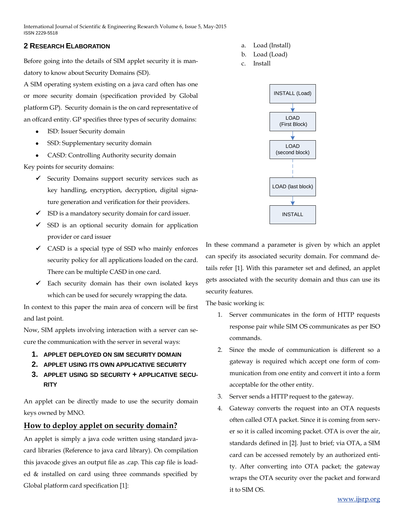## **2 RESEARCH ELABORATION**

Before going into the details of SIM applet security it is mandatory to know about Security Domains (SD).

A SIM operating system existing on a java card often has one or more security domain (specification provided by Global platform GP). Security domain is the on card representative of an offcard entity. GP specifies three types of security domains:

- ISD: Issuer Security domain
- SSD: Supplementary security domain
- CASD: Controlling Authority security domain

Key points for security domains:

- $\checkmark$  Security Domains support security services such as key handling, encryption, decryption, digital signature generation and verification for their providers.
- $\checkmark$  ISD is a mandatory security domain for card issuer.
- $\checkmark$  SSD is an optional security domain for application provider or card issuer
- $\checkmark$  CASD is a special type of SSD who mainly enforces security policy for all applications loaded on the card. There can be multiple CASD in one card.
- $\checkmark$  Each security domain has their own isolated keys which can be used for securely wrapping the data.

In context to this paper the main area of concern will be first and last point.

Now, SIM applets involving interaction with a server can secure the communication with the server in several ways:

- **1. APPLET DEPLOYED ON SIM SECURITY DOMAIN**
- **2. APPLET USING ITS OWN APPLICATIVE SECURITY**
- **3. APPLET USING SD SECURITY + APPLICATIVE SECU-RITY**

An applet can be directly made to use the security domain keys owned by MNO.

# **How to deploy applet on security domain?**

An applet is simply a java code written using standard javacard libraries (Reference to java card library). On compilation this javacode gives an output file as .cap. This cap file is loaded & installed on card using three commands specified by Global platform card specification [1]:

- a. Load (Install)
- b. Load (Load)
- c. Install



In these command a parameter is given by which an applet can specify its associated security domain. For command details refer [1]. With this parameter set and defined, an applet gets associated with the security domain and thus can use its security features.

The basic working is:

- 1. Server communicates in the form of HTTP requests response pair while SIM OS communicates as per ISO commands.
- 2. Since the mode of communication is different so a gateway is required which accept one form of communication from one entity and convert it into a form acceptable for the other entity.
- 3. Server sends a HTTP request to the gateway.
- 4. Gateway converts the request into an OTA requests often called OTA packet. Since it is coming from server so it is called incoming packet. OTA is over the air, standards defined in [2]. Just to brief; via OTA, a SIM card can be accessed remotely by an authorized entity. After converting into OTA packet; the gateway wraps the OTA security over the packet and forward it to SIM OS.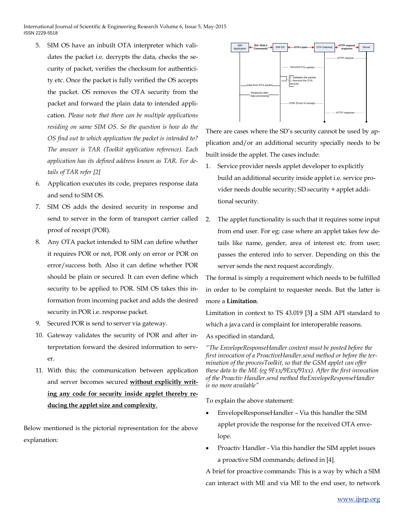- 5. SIM OS have an inbuilt OTA interpreter which validates the packet i.e. decrypts the data, checks the security of packet, verifies the checksum for authenticity etc. Once the packet is fully verified the OS accepts the packet. OS removes the OTA security from the packet and forward the plain data to intended application. *Please note that there can be multiple applications residing on same SIM OS. So the question is how do the OS find out to which application the packet is intended to? The answer is TAR (Toolkit application reference). Each application has its defined address known as TAR. For details of TAR refer [2]*
- 6. Application executes its code, prepares response data and send to SIM OS.
- 7. SIM OS adds the desired security in response and send to server in the form of transport carrier called proof of receipt (POR).
- 8. Any OTA packet intended to SIM can define whether it requires POR or not, POR only on error or POR on error/success both. Also it can define whether POR should be plain or secured. It can even define which security to be applied to POR. SIM OS takes this information from incoming packet and adds the desired security in POR i.e. response packet.
- 9. Secured POR is send to server via gateway.
- 10. Gateway validates the security of POR and after interpretation forward the desired information to server.
- 11. With this; the communication between application and server becomes secured **without explicitly writing any code for security inside applet thereby reducing the applet size and complexity**.

Below mentioned is the pictorial representation for the above explanation:



There are cases where the SD's security cannot be used by application and/or an additional security specially needs to be built inside the applet. The cases include:

- 1. Service provider needs applet developer to explicitly build an additional security inside applet i.e. service provider needs double security; SD security + applet additional security.
- 2. The applet functionality is such that it requires some input from end user. For eg: case where an applet takes few details like name, gender, area of interest etc. from user; passes the entered info to server. Depending on this the server sends the next request accordingly.

The formal is simply a requirement which needs to be fulfilled in order to be complaint to requester needs. But the latter is more a **Limitation**.

Limitation in context to TS 43.019 [3**]** a SIM API standard to which a java card is complaint for interoperable reasons. As specified in standard,

*"The EnvelopeResponseHandler content must be posted before the first invocation of a ProactiveHandler.send method or before the termination of the processToolkit, so that the GSM applet can offer these data to the ME (eg 9Fxx/9Exx/91xx). After the first invocation of the Proactiv Handler.send method theEnvelopeResponseHandler is no more available"*

To explain the above statement:

- EnvelopeResponseHandler Via this handler the SIM applet provide the response for the received OTA envelope.
- Proactiv Handler Via this handler the SIM applet issues a proactive SIM commands; defined in [4].

A brief for proactive commands: This is a way by which a SIM can interact with ME and via ME to the end user, to network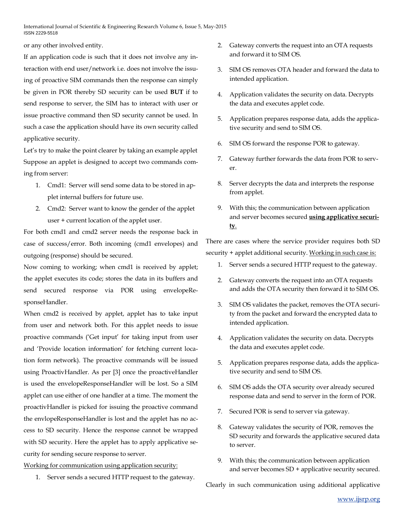or any other involved entity.

If an application code is such that it does not involve any interaction with end user/network i.e. does not involve the issuing of proactive SIM commands then the response can simply be given in POR thereby SD security can be used **BUT** if to send response to server, the SIM has to interact with user or issue proactive command then SD security cannot be used. In such a case the application should have its own security called applicative security.

Let's try to make the point clearer by taking an example applet Suppose an applet is designed to accept two commands coming from server:

- 1. Cmd1: Server will send some data to be stored in applet internal buffers for future use.
- 2. Cmd2: Server want to know the gender of the applet user + current location of the applet user.

For both cmd1 and cmd2 server needs the response back in case of success/error. Both incoming (cmd1 envelopes) and outgoing (response) should be secured.

Now coming to working; when cmd1 is received by applet; the applet executes its code; stores the data in its buffers and send secured response via POR using envelopeResponseHandler.

When cmd2 is received by applet, applet has to take input from user and network both. For this applet needs to issue proactive commands ('Get input' for taking input from user and 'Provide location information' for fetching current location form network). The proactive commands will be issued using ProactivHandler. As per [3] once the proactiveHandler is used the envelopeResponseHandler will be lost. So a SIM applet can use either of one handler at a time. The moment the proactivHandler is picked for issuing the proactive command the envlopeResponseHandler is lost and the applet has no access to SD security. Hence the response cannot be wrapped with SD security. Here the applet has to apply applicative security for sending secure response to server.

Working for communication using application security:

1. Server sends a secured HTTP request to the gateway.

- 2. Gateway converts the request into an OTA requests and forward it to SIM OS.
- 3. SIM OS removes OTA header and forward the data to intended application.
- 4. Application validates the security on data. Decrypts the data and executes applet code.
- 5. Application prepares response data, adds the applicative security and send to SIM OS.
- 6. SIM OS forward the response POR to gateway.
- 7. Gateway further forwards the data from POR to server.
- 8. Server decrypts the data and interprets the response from applet.
- 9. With this; the communication between application and server becomes secured **using applicative security**.

There are cases where the service provider requires both SD security + applet additional security. Working in such case is:

- 1. Server sends a secured HTTP request to the gateway.
- 2. Gateway converts the request into an OTA requests and adds the OTA security then forward it to SIM OS.
- 3. SIM OS validates the packet, removes the OTA security from the packet and forward the encrypted data to intended application.
- 4. Application validates the security on data. Decrypts the data and executes applet code.
- 5. Application prepares response data, adds the applicative security and send to SIM OS.
- 6. SIM OS adds the OTA security over already secured response data and send to server in the form of POR.
- 7. Secured POR is send to server via gateway.
- 8. Gateway validates the security of POR, removes the SD security and forwards the applicative secured data to server.
- 9. With this; the communication between application and server becomes SD + applicative security secured.

Clearly in such communication using additional applicative